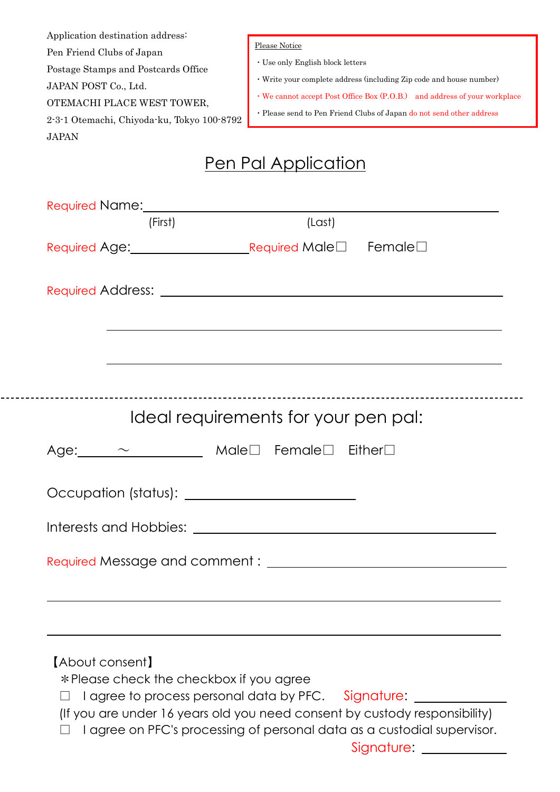| Application destination address:<br>Pen Friend Clubs of Japan<br>Postage Stamps and Postcards Office<br>JAPAN POST Co., Ltd.<br>OTEMACHI PLACE WEST TOWER,<br>2-3-1 Otemachi, Chiyoda-ku, Tokyo 100-8792<br><b>JAPAN</b> | <b>Please Notice</b><br>· Use only English block letters<br>· Write your complete address (including Zip code and house number)<br>• We cannot accept Post Office Box (P.O.B.) and address of your workplace<br>· Please send to Pen Friend Clubs of Japan do not send other address |
|--------------------------------------------------------------------------------------------------------------------------------------------------------------------------------------------------------------------------|--------------------------------------------------------------------------------------------------------------------------------------------------------------------------------------------------------------------------------------------------------------------------------------|
|                                                                                                                                                                                                                          | <u>Pen Pal Application</u>                                                                                                                                                                                                                                                           |
| Required Name: 1978<br>(First)                                                                                                                                                                                           | (Last)                                                                                                                                                                                                                                                                               |
| Required Age: Required Male□                                                                                                                                                                                             | Female $\square$                                                                                                                                                                                                                                                                     |
| Required Address: Network and Service Contract and Service Contract and Service Contract and Service Contract A                                                                                                          |                                                                                                                                                                                                                                                                                      |
|                                                                                                                                                                                                                          | ____________________________<br>Ideal requirements for your pen pal:                                                                                                                                                                                                                 |
| Age: $\sim$ Male $\square$ Female $\square$ Either $\square$                                                                                                                                                             |                                                                                                                                                                                                                                                                                      |
|                                                                                                                                                                                                                          |                                                                                                                                                                                                                                                                                      |
|                                                                                                                                                                                                                          |                                                                                                                                                                                                                                                                                      |
|                                                                                                                                                                                                                          |                                                                                                                                                                                                                                                                                      |
|                                                                                                                                                                                                                          |                                                                                                                                                                                                                                                                                      |
|                                                                                                                                                                                                                          |                                                                                                                                                                                                                                                                                      |